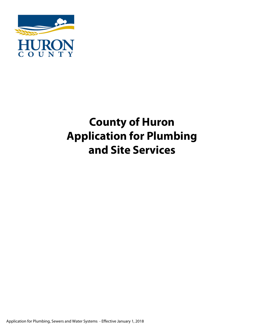

# **County of Huron Application for Plumbing and Site Services**

Application for Plumbing, Sewers and Water Systems - Effective January 1, 2018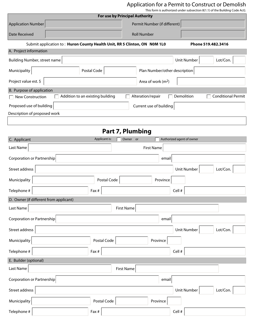## Application for a Permit to Construct or Demolish

This form is authorized under subsection 8(1.1) of the Building Code Act).

|                                                                           | <b>For use by Principal Authority</b> |                                       | $\frac{1}{100}$ form is authorized ander subsection of i.i) or the banding code Act). |
|---------------------------------------------------------------------------|---------------------------------------|---------------------------------------|---------------------------------------------------------------------------------------|
| <b>Application Number</b>                                                 |                                       | Permit Number (if different)          |                                                                                       |
| <b>Date Received</b>                                                      |                                       | <b>Roll Number</b>                    |                                                                                       |
| Submit application to: Huron County Health Unit, RR 5 Clinton, ON NOM 1L0 |                                       |                                       | Phone 519.482.3416                                                                    |
| A. Project information                                                    |                                       |                                       |                                                                                       |
| Building Number, street name                                              |                                       |                                       | Lot/Con.<br><b>Unit Number</b>                                                        |
| Municipality                                                              | Postal Code                           | Plan Number/other description         |                                                                                       |
| Project value est. \$                                                     |                                       | Area of work $(m2)$                   |                                                                                       |
| B. Purpose of application                                                 |                                       |                                       |                                                                                       |
| $\Box$ New Construction                                                   | Addition to an existing building      | Alteration/repair                     | Demolition<br><b>Conditional Permit</b>                                               |
| Proposed use of building                                                  |                                       | Current use of building               |                                                                                       |
| Description of proposed work                                              |                                       |                                       |                                                                                       |
|                                                                           |                                       |                                       |                                                                                       |
|                                                                           |                                       | Part 7, Plumbing                      |                                                                                       |
| C. Applicant                                                              | Applicant is:                         | Authorized agent of owner<br>Owner or |                                                                                       |
| Last Name                                                                 |                                       | <b>First Name</b>                     |                                                                                       |
| Corporation or Partnership                                                |                                       | email                                 |                                                                                       |
| Street address                                                            |                                       |                                       | <b>Unit Number</b><br>Lot/Con.                                                        |
| Municipality                                                              | Postal Code                           | Province                              |                                                                                       |
| Telephone #                                                               | Fax #                                 | Cell #                                |                                                                                       |
| D. Owner (if different from applicant)                                    |                                       |                                       |                                                                                       |
| Last Name                                                                 | <b>First Name</b>                     |                                       |                                                                                       |
| Corporation or Partnership                                                |                                       | email                                 |                                                                                       |
| Street address                                                            |                                       |                                       | <b>Unit Number</b><br>Lot/Con.                                                        |
| Municipality                                                              | Postal Code                           | Province                              |                                                                                       |
| Telephone #                                                               | Fax #                                 | Cell #                                |                                                                                       |
| E. Builder (optional)                                                     |                                       |                                       |                                                                                       |
| Last Name                                                                 | <b>First Name</b>                     |                                       |                                                                                       |
| Corporation or Partnership                                                |                                       | email                                 |                                                                                       |
| Street address                                                            |                                       |                                       | Lot/Con.<br>Unit Number                                                               |
| Municipality                                                              | Postal Code                           | Province                              |                                                                                       |
| Telephone #                                                               | Fax #                                 | Cell #                                |                                                                                       |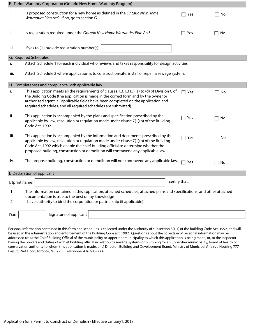|                 | F. Tarion Warranty Corporation (Ontario New Home Warranty Program)                                                                                                                                                                                                                                                                                   |                        |                    |
|-----------------|------------------------------------------------------------------------------------------------------------------------------------------------------------------------------------------------------------------------------------------------------------------------------------------------------------------------------------------------------|------------------------|--------------------|
| i.              | Is proposed construction for a new home as defined in the Ontario New Home<br>Warranties Plan Act? If no, go to section G.                                                                                                                                                                                                                           | Yes                    | No                 |
| ii.             | Is registration required under the Ontario New Home Warranties Plan Act?                                                                                                                                                                                                                                                                             | Yes                    | No<br>П            |
| iii.            | If yes to (ii.) provide registration number(s):                                                                                                                                                                                                                                                                                                      |                        |                    |
|                 | G. Required Schedules                                                                                                                                                                                                                                                                                                                                |                        |                    |
| i.              | Attach Schedule 1 for each individual who reviews and takes responsibility for design activities.                                                                                                                                                                                                                                                    |                        |                    |
| iii.            | Attach Schedule 2 where application is to construct on-site, install or repair a sewage system.                                                                                                                                                                                                                                                      |                        |                    |
|                 | H. Completeness and compliance with applicable law                                                                                                                                                                                                                                                                                                   |                        |                    |
| i.              | This application meets all the requirements of clauses 1.3.1.3 (5) (a) to (d) of Division C of<br>the Building Code (the application is made in the correct form and by the owner or<br>authorized agent, all applicable fields have been completed on the application and<br>required schedules, and all required schedules are submitted).         | $\mathbin{\sqcap}$ Yes | No                 |
| ii.             | This application is accompanied by the plans and specification prescribed by the<br>applicable by-law, resolution or regulation made under clause 7(1)(b) of the Building<br>Code Act, 1992.                                                                                                                                                         | Yes                    | No<br>$\sim$       |
| iii.            | This application is accompanied by the information and documents prescribed by the<br>applicable by-law, resolution or regulation made under clause 7(1)(b) of the Building<br>Code Act, 1992 which enable the chief building official to determine whether the<br>proposed building, construction or demolition will contravene any applicable law. | $\sqsupset$ Yes        | No<br>$\mathbf{I}$ |
| iv.             | The propose building, construction or demolition will not contravene any applicable law.                                                                                                                                                                                                                                                             | Yes                    | $\Box$ No          |
|                 | I. Declaration of applicant                                                                                                                                                                                                                                                                                                                          |                        |                    |
| I, (print name) |                                                                                                                                                                                                                                                                                                                                                      | certify that:          |                    |
| 1.<br>2.        | The information contained in this application, attached schedules, attached plans and specifications, and other attached<br>documentation is true to the best of my knowledge<br>I have authority to bind the corporation or partnership (if applicable).                                                                                            |                        |                    |
| Date            | Signature of applicant                                                                                                                                                                                                                                                                                                                               |                        |                    |

Personal information contained in this form and schedules is collected under the authority of subsection 8(1.1) of the Building Code Act, 1992, and will be used in the administration and enforcement of the Building Code act, 1992. Questions about the collection of personal information may be addressed to: a) the Chief Building Official of the municipality or upper-tier municipality to which this application is being made, or, b) the inspector having the powers and duties of a chief building official in relation to sewage systems or plumbing for an upper-tier municipality, board of health or conservation authority to whom this application is made, or c) Director, Building and Development Brand, Ministry of Municipal Affairs a Housing 777 Bay St., 2nd Floor, Toronto, M5G 2E5 Telephone: 416.585.6666.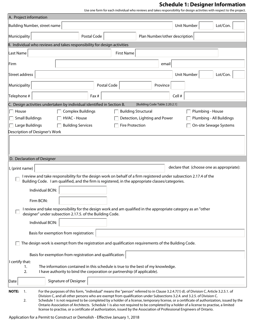# **Schedule 1: Designer Information**

Use one form for each individual who reviews and takes responsibility for design activities with respect to the project.

| A. Project information                                                                               |                                                                                                                                                                                                                                                                                                                                                                                                                                                                                                                                   |                          |                   |                               |                                |        |                    |                                                                                                                                          |
|------------------------------------------------------------------------------------------------------|-----------------------------------------------------------------------------------------------------------------------------------------------------------------------------------------------------------------------------------------------------------------------------------------------------------------------------------------------------------------------------------------------------------------------------------------------------------------------------------------------------------------------------------|--------------------------|-------------------|-------------------------------|--------------------------------|--------|--------------------|------------------------------------------------------------------------------------------------------------------------------------------|
| Building Number, street name                                                                         |                                                                                                                                                                                                                                                                                                                                                                                                                                                                                                                                   |                          |                   |                               |                                |        | <b>Unit Number</b> | Lot/Con.                                                                                                                                 |
| Municipality                                                                                         |                                                                                                                                                                                                                                                                                                                                                                                                                                                                                                                                   | Postal Code              |                   |                               | Plan Number/other description  |        |                    |                                                                                                                                          |
|                                                                                                      | B. Individual who reviews and takes responsibility for design activities                                                                                                                                                                                                                                                                                                                                                                                                                                                          |                          |                   |                               |                                |        |                    |                                                                                                                                          |
| Last Name                                                                                            |                                                                                                                                                                                                                                                                                                                                                                                                                                                                                                                                   |                          | <b>First Name</b> |                               |                                |        |                    |                                                                                                                                          |
| Firm                                                                                                 |                                                                                                                                                                                                                                                                                                                                                                                                                                                                                                                                   |                          |                   |                               | email                          |        |                    |                                                                                                                                          |
| Street address                                                                                       |                                                                                                                                                                                                                                                                                                                                                                                                                                                                                                                                   |                          |                   |                               |                                |        | Unit Number        | Lot/Con.                                                                                                                                 |
| Municipality                                                                                         |                                                                                                                                                                                                                                                                                                                                                                                                                                                                                                                                   |                          | Postal Code       |                               | Province                       |        |                    |                                                                                                                                          |
| Telephone #                                                                                          |                                                                                                                                                                                                                                                                                                                                                                                                                                                                                                                                   | Fax #                    |                   |                               |                                | Cell # |                    |                                                                                                                                          |
|                                                                                                      | C. Design activities undertaken by individual identified in Section B.                                                                                                                                                                                                                                                                                                                                                                                                                                                            |                          |                   |                               | [Building Code Table 2.20.2.1] |        |                    |                                                                                                                                          |
| House                                                                                                |                                                                                                                                                                                                                                                                                                                                                                                                                                                                                                                                   | <b>Complex Buildings</b> |                   | <b>Building Structural</b>    |                                |        |                    | Plumbing - House                                                                                                                         |
| <b>Small Buildings</b>                                                                               |                                                                                                                                                                                                                                                                                                                                                                                                                                                                                                                                   | <b>HVAC - House</b>      |                   | Detection, Lighting and Power |                                |        |                    | Plumbing - All Buildings                                                                                                                 |
| Large Buildings                                                                                      |                                                                                                                                                                                                                                                                                                                                                                                                                                                                                                                                   | <b>Building Services</b> |                   | <b>Fire Protection</b>        |                                |        |                    | On-site Sewage Systems                                                                                                                   |
| Description of Designer's Work                                                                       |                                                                                                                                                                                                                                                                                                                                                                                                                                                                                                                                   |                          |                   |                               |                                |        |                    |                                                                                                                                          |
|                                                                                                      |                                                                                                                                                                                                                                                                                                                                                                                                                                                                                                                                   |                          |                   |                               |                                |        |                    |                                                                                                                                          |
| D. Declaration of Designer                                                                           |                                                                                                                                                                                                                                                                                                                                                                                                                                                                                                                                   |                          |                   |                               |                                |        |                    |                                                                                                                                          |
| I, (print name)                                                                                      |                                                                                                                                                                                                                                                                                                                                                                                                                                                                                                                                   |                          |                   |                               |                                |        |                    | declare that (choose one as appropriate):                                                                                                |
|                                                                                                      | I review and take responsibility for the design work on behalf of a firm registered under subsection 2.17.4 of the<br>Building Code. I am qualified, and the firm is registered, in the appropriate classes/categories.                                                                                                                                                                                                                                                                                                           |                          |                   |                               |                                |        |                    |                                                                                                                                          |
|                                                                                                      | Individual BCIN:                                                                                                                                                                                                                                                                                                                                                                                                                                                                                                                  |                          |                   |                               |                                |        |                    |                                                                                                                                          |
|                                                                                                      | Firm BCIN:                                                                                                                                                                                                                                                                                                                                                                                                                                                                                                                        |                          |                   |                               |                                |        |                    |                                                                                                                                          |
|                                                                                                      | I review and take responsibility for the design work and am qualified in the appropriate category as an "other<br>designer" under subsection 2.17.5. of the Building Code.                                                                                                                                                                                                                                                                                                                                                        |                          |                   |                               |                                |        |                    |                                                                                                                                          |
|                                                                                                      | Individual BCIN:                                                                                                                                                                                                                                                                                                                                                                                                                                                                                                                  |                          |                   |                               |                                |        |                    |                                                                                                                                          |
| Basis for exemption from registration:                                                               |                                                                                                                                                                                                                                                                                                                                                                                                                                                                                                                                   |                          |                   |                               |                                |        |                    |                                                                                                                                          |
| The design work is exempt from the registration and qualification requirements of the Building Code. |                                                                                                                                                                                                                                                                                                                                                                                                                                                                                                                                   |                          |                   |                               |                                |        |                    |                                                                                                                                          |
|                                                                                                      | Basis for exemption from registration and qualification:                                                                                                                                                                                                                                                                                                                                                                                                                                                                          |                          |                   |                               |                                |        |                    |                                                                                                                                          |
| I certify that:                                                                                      |                                                                                                                                                                                                                                                                                                                                                                                                                                                                                                                                   |                          |                   |                               |                                |        |                    |                                                                                                                                          |
| 1.<br>2.                                                                                             | The information contained in this schedule is true to the best of my knowledge.<br>I have authority to bind the corporation or partnership (if applicable).                                                                                                                                                                                                                                                                                                                                                                       |                          |                   |                               |                                |        |                    |                                                                                                                                          |
| Date                                                                                                 | Signature of Designer                                                                                                                                                                                                                                                                                                                                                                                                                                                                                                             |                          |                   |                               |                                |        |                    |                                                                                                                                          |
| <b>NOTE:</b><br>1.<br>2.                                                                             | For the purposes of this form, "individual" means the "person" referred to in Clause 3.2.4.7(1) d). of Division C, Article 3.2.5.1. of<br>Division C, and all other persons who are exempt from qualification under Subsections 3.2.4. and 3.2.5. of Division C.<br>Ontario Association of Architects. Schedule 1 is also not required to be completed by a holder of a license to practise, a limited<br>license to practise, or a certificate of authorization, issued by the Association of Professional Engineers of Ontario. |                          |                   |                               |                                |        |                    | Schedule 1 is not required to be completed by a holder of a license, temporary license, or a certificate of authorization, issued by the |

Application for a Permit to Construct or Demolish - Effective January 1, 2018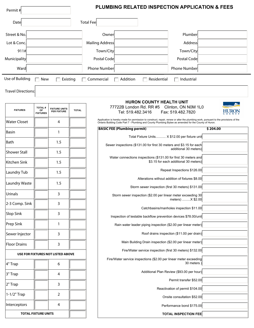| Permit#                                                                                                 |                                        |                                            |                          |                                    | <b>PLUMBING RELATED INSPECTION APPLICATION &amp; FEES</b>                                                                                                                                                                                    |                                          |          |                |
|---------------------------------------------------------------------------------------------------------|----------------------------------------|--------------------------------------------|--------------------------|------------------------------------|----------------------------------------------------------------------------------------------------------------------------------------------------------------------------------------------------------------------------------------------|------------------------------------------|----------|----------------|
| Date                                                                                                    |                                        |                                            |                          | <b>Total Feel</b>                  |                                                                                                                                                                                                                                              |                                          |          |                |
| Street & No.                                                                                            |                                        |                                            |                          | Owner                              |                                                                                                                                                                                                                                              | Plumber                                  |          |                |
| Lot & Conc.                                                                                             |                                        |                                            |                          | Mailing Address                    |                                                                                                                                                                                                                                              | <b>Address</b>                           |          |                |
| 911#                                                                                                    |                                        |                                            |                          | Town/City                          |                                                                                                                                                                                                                                              | Town/City                                |          |                |
| Municipality                                                                                            |                                        |                                            |                          | Postal Code                        |                                                                                                                                                                                                                                              | Postal Code                              |          |                |
| Ward                                                                                                    |                                        |                                            | $\overline{\phantom{a}}$ | Phone Number                       |                                                                                                                                                                                                                                              | Phone Number                             |          |                |
| Use of Building<br>Addition<br>Residential<br><b>New</b><br>Existing<br>Commercial<br>$\Box$ Industrial |                                        |                                            |                          |                                    |                                                                                                                                                                                                                                              |                                          |          |                |
| <b>Travel Directions:</b>                                                                               |                                        |                                            |                          |                                    |                                                                                                                                                                                                                                              |                                          |          |                |
|                                                                                                         |                                        |                                            |                          |                                    | <b>HURON COUNTY HEALTH UNIT</b>                                                                                                                                                                                                              |                                          |          |                |
| <b>FIXTURES</b>                                                                                         | <b>TOTAL#</b><br>OF<br><b>FIXTURES</b> | <b>FIXTURE UNITS</b><br><b>PER FIXTURE</b> | <b>TOTAL</b>             |                                    | 77722B London Rd. RR #5<br>Tel: 519.482.3416                                                                                                                                                                                                 | Clinton, ON N0M 1L0<br>Fax: 519.482.7820 |          |                |
| <b>Water Closet</b>                                                                                     |                                        | 4                                          |                          |                                    | Application is hereby made for permission to construct, repair, renew or alter the plumbing work, pursuant to the provisions of the<br>Ontario Building Code Part 7 - Plumbing and County Plumbing Bylaw as amended for the County of Huron. |                                          |          |                |
| <b>Basin</b>                                                                                            |                                        | 1                                          |                          | <b>BASIC FEE (Plumbing permit)</b> |                                                                                                                                                                                                                                              |                                          | \$204.00 |                |
|                                                                                                         |                                        |                                            |                          |                                    | Total Fixture Units X \$12.00 per fixture unit                                                                                                                                                                                               |                                          |          | $ \mathbf{v} $ |
| Bath                                                                                                    |                                        | 1.5                                        |                          |                                    | Sewer inspections (\$131.00 for first 30 meters and \$3.15 for each                                                                                                                                                                          | additional 30 meters)                    |          |                |
| <b>Shower Stall</b>                                                                                     |                                        | 1.5                                        |                          |                                    |                                                                                                                                                                                                                                              |                                          |          |                |
|                                                                                                         |                                        |                                            |                          |                                    | Water connections inspections (\$131.00 for first 30 meters and                                                                                                                                                                              |                                          |          |                |

 $\blacksquare$  $\boxed{\blacksquare}$ 

 $\boxed{\blacksquare}$ 

 $\boxed{\blacksquare}$ 

 $\overline{\phantom{0}}$ 

 $\boxed{\blacksquare}$ 

 $\boxed{\blacksquare}$ 

 $\boxed{\blacksquare}$ 

 $\boxed{\blacksquare}$ 

 $\boxed{\blacksquare}$ 

 $\boxed{\mathbf{r}}$ 

 $\overline{\phantom{0}}$ 

 $\boxed{\blacksquare}$  $\overline{\phantom{0}}$ 

 $\boxed{\blacksquare}$ 

 $\boxed{\blacksquare}$ 

 $\boxed{\blacksquare}$ 

|                                          |                            |                                                                                 | 00 MCL interpretitions (@TOT.00 TOL inter 00 There) and @0.10 TOL capit                                  |
|------------------------------------------|----------------------------|---------------------------------------------------------------------------------|----------------------------------------------------------------------------------------------------------|
| Shower Stall                             |                            | 1.5                                                                             | additional 30 meters)                                                                                    |
| Kitchen Sink                             |                            | 1.5                                                                             | Water connections inspections (\$131.00 for first 30 meters and<br>\$3.15 for each additional 30 meters) |
| Laundry Tub                              |                            | 1.5                                                                             | Repeat Inspections \$126.00                                                                              |
|                                          |                            |                                                                                 | Alterations without addition of fixtures \$8.00                                                          |
| Laundry Waste                            |                            | 1.5                                                                             | Storm sewer inspection (first 30 meters) \$131.00                                                        |
| Urinals                                  |                            | 3                                                                               | Storm sewer inspection (\$2.00 per linear meter exceeding 30<br>meters) X \$2.00                         |
| 2-3 Comp. Sink                           |                            | 3                                                                               |                                                                                                          |
|                                          |                            |                                                                                 | Catchbasins/manholes inspection \$11.00                                                                  |
| Slop Sink                                |                            | 3                                                                               | Inspection of testable backflow prevention devices \$78.00/unit                                          |
| Prep Sink                                |                            | 1                                                                               | Rain water leader piping inspection (\$2.00 per linear meter)                                            |
| Sewer Injector                           |                            | 3                                                                               | Roof drains inspection (\$11.00 per drain)                                                               |
| Floor Drains                             |                            | 3                                                                               | Main Building Drain inspection (\$2.00 per linear meter)                                                 |
| <b>USE FOR FIXTURES NOT LISTED ABOVE</b> |                            | Fire/Water service inspection (first 30 meters) \$132.00                        |                                                                                                          |
| 4" Trap<br>6                             |                            | Fire/Water service inspections (\$2.00 per linear meter exceeding<br>30 meters) |                                                                                                          |
|                                          |                            |                                                                                 | Additional Plan Review (\$93.00 per hour)                                                                |
| 3" Trap                                  |                            | 4                                                                               | Permit transfer \$52.00                                                                                  |
| 2" Trap                                  |                            | 3                                                                               |                                                                                                          |
| 1-1/2" Trap                              |                            | 2                                                                               | Reactivation of permit \$104.00                                                                          |
|                                          |                            |                                                                                 | Onsite consultation \$52.00                                                                              |
| Interceptors                             |                            | 4                                                                               | Performance bond \$175.00                                                                                |
|                                          | <b>TOTAL FIXTURE UNITS</b> |                                                                                 | <b>TOTAL INSPECTION FEE</b>                                                                              |
|                                          |                            |                                                                                 |                                                                                                          |